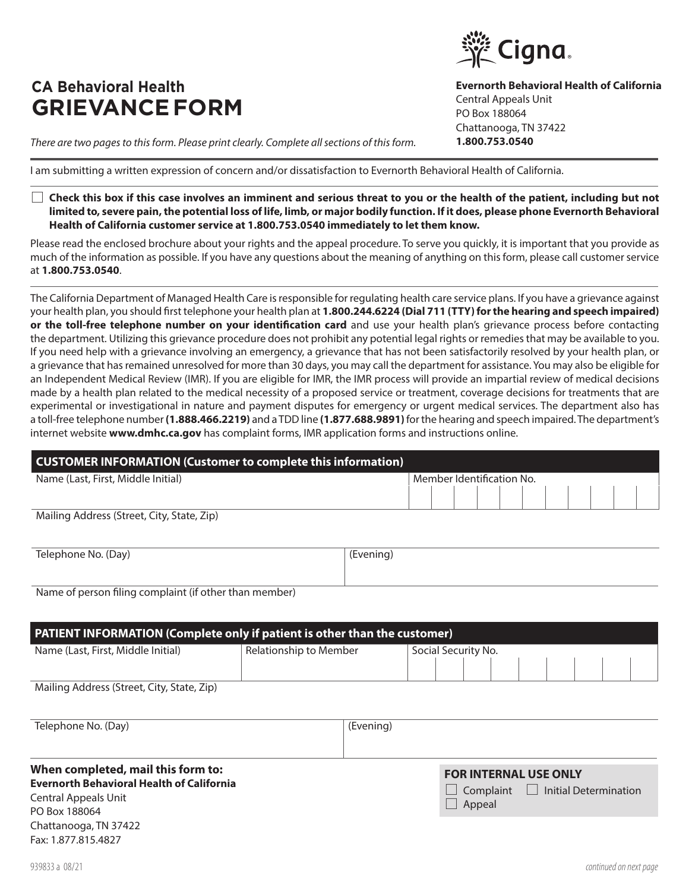## **CA Behavioral Health GRIEVANCE FORM**

PO Box 188064

Chattanooga, TN 37422 Fax: 1.877.815.4827

*There are two pages to this form. Please print clearly. Complete all sections of this form.*

I am submitting a written expression of concern and/or dissatisfaction to Evernorth Behavioral Health of California.

 **Check this box if this case involves an imminent and serious threat to you or the health of the patient, including but not limited to, severe pain, the potential loss of life, limb, or major bodily function. If it does, please phone Evernorth Behavioral Health of California customer service at 1.800.753.0540 immediately to let them know.**

Please read the enclosed brochure about your rights and the appeal procedure. To serve you quickly, it is important that you provide as much of the information as possible. If you have any questions about the meaning of anything on this form, please call customer service at **1.800.753.0540**.

The California Department of Managed Health Care is responsible for regulating health care service plans. If you have a grievance against your health plan, you should first telephone your health plan at **1.800.244.6224 (Dial 711 (TTY) for the hearing and speech impaired) or the toll-free telephone number on your identification card** and use your health plan's grievance process before contacting the department. Utilizing this grievance procedure does not prohibit any potential legal rights or remedies that may be available to you. If you need help with a grievance involving an emergency, a grievance that has not been satisfactorily resolved by your health plan, or a grievance that has remained unresolved for more than 30 days, you may call the department for assistance. You may also be eligible for an Independent Medical Review (IMR). If you are eligible for IMR, the IMR process will provide an impartial review of medical decisions made by a health plan related to the medical necessity of a proposed service or treatment, coverage decisions for treatments that are experimental or investigational in nature and payment disputes for emergency or urgent medical services. The department also has a toll-free telephone number **(1.888.466.2219)** and a TDD line **(1.877.688.9891)** for the hearing and speech impaired. The department's internet website **www.dmhc.ca.gov** has complaint forms, IMR application forms and instructions online.

| <b>CUSTOMER INFORMATION (Customer to complete this information)</b> |                           |  |  |  |  |  |  |  |
|---------------------------------------------------------------------|---------------------------|--|--|--|--|--|--|--|
| Name (Last, First, Middle Initial)                                  | Member Identification No. |  |  |  |  |  |  |  |
|                                                                     |                           |  |  |  |  |  |  |  |
| Mailing Address (Street, City, State, Zip)                          |                           |  |  |  |  |  |  |  |

| Telephone No. (Day) | (Evening) |
|---------------------|-----------|
|                     |           |

Name of person filing complaint (if other than member)

| <b>PATIENT INFORMATION (Complete only if patient is other than the customer)</b> |                        |                     |  |  |  |  |  |
|----------------------------------------------------------------------------------|------------------------|---------------------|--|--|--|--|--|
| Name (Last, First, Middle Initial)                                               | Relationship to Member | Social Security No. |  |  |  |  |  |
|                                                                                  |                        |                     |  |  |  |  |  |
| .<br>.<br>$\sim$                                                                 |                        |                     |  |  |  |  |  |

Mailing Address (Street, City, State, Zip)

| Telephone No. (Day)                              | (Evening)                                     |  |
|--------------------------------------------------|-----------------------------------------------|--|
|                                                  |                                               |  |
| When completed, mail this form to:               | <b>FOR INTERNAL USE ONLY</b>                  |  |
| <b>Evernorth Behavioral Health of California</b> | $\Box$ Complaint $\Box$ Initial Determination |  |
| <b>Central Appeals Unit</b>                      | $A - 2 - 1$                                   |  |

Cigna.

Central Appeals Unit PO Box 188064

Chattanooga, TN 37422 **1.800.753.0540**

**Evernorth Behavioral Health of California**